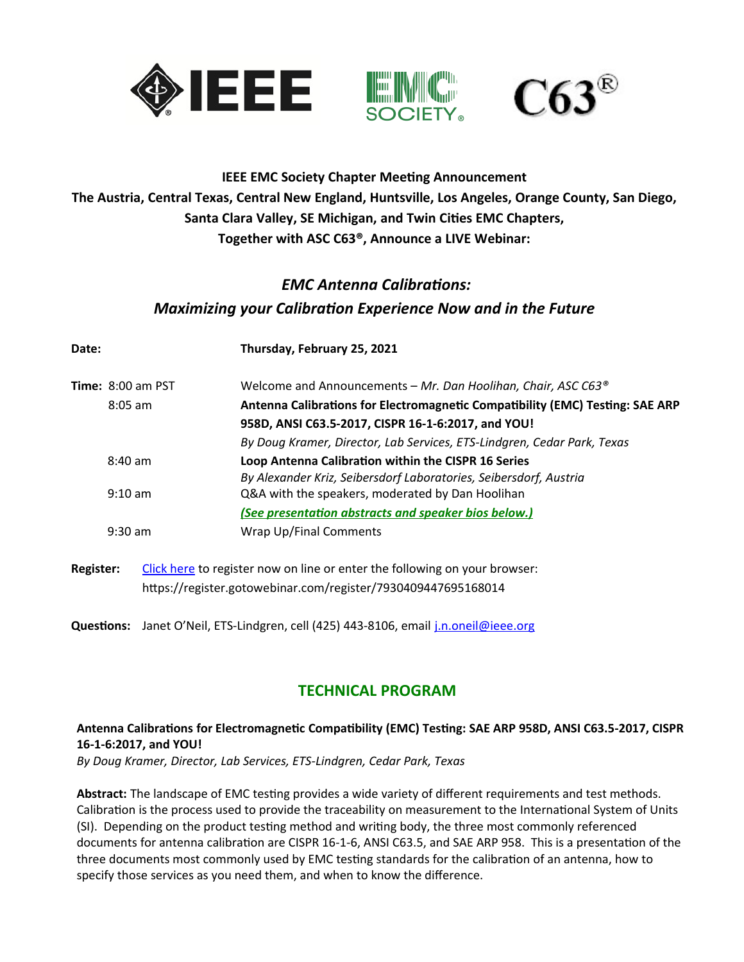

### **IEEE EMC Society Chapter Meeting Announcement The Austria, Central Texas, Central New England, Huntsville, Los Angeles, Orange County, San Diego, Santa Clara Valley, SE Michigan, and Twin Cities EMC Chapters, Together with ASC C63®, Announce a LIVE Webinar:**

# *EMC Antenna Calibrations: Maximizing your Calibration Experience Now and in the Future*

| Date:                      | Thursday, February 25, 2021                                                                                              |
|----------------------------|--------------------------------------------------------------------------------------------------------------------------|
| <b>Time:</b> $8:00$ am PST | Welcome and Announcements - Mr. Dan Hoolihan, Chair, ASC C63 <sup>®</sup>                                                |
| $8:05$ am                  | Antenna Calibrations for Electromagnetic Compatibility (EMC) Testing: SAE ARP                                            |
|                            | 958D, ANSI C63.5-2017, CISPR 16-1-6:2017, and YOU!                                                                       |
|                            | By Doug Kramer, Director, Lab Services, ETS-Lindgren, Cedar Park, Texas                                                  |
| $8:40$ am                  | Loop Antenna Calibration within the CISPR 16 Series<br>By Alexander Kriz, Seibersdorf Laboratories, Seibersdorf, Austria |
| $9:10 \text{ am}$          | Q&A with the speakers, moderated by Dan Hoolihan                                                                         |
|                            | (See presentation abstracts and speaker bios below.)                                                                     |
| $9:30$ am                  | <b>Wrap Up/Final Comments</b>                                                                                            |
|                            |                                                                                                                          |

**Register:** [Click here](https://register.gotowebinar.com/register/7930409447695168014) to register now on line or enter the following on your browser: https://register.gotowebinar.com/register/7930409447695168014

**Questions:** Janet O'Neil, ETS-Lindgren, cell (425) 443-8106, email [j.n.oneil@ieee.org](mailto:j.n.oneil@ieee.org)

## **TECHNICAL PROGRAM**

#### **Antenna Calibrations for Electromagnetic Compatibility (EMC) Testing: SAE ARP 958D, ANSI C63.5-2017, CISPR 16-1-6:2017, and YOU!**

*By Doug Kramer, Director, Lab Services, ETS-Lindgren, Cedar Park, Texas*

**Abstract:** The landscape of EMC testing provides a wide variety of different requirements and test methods. Calibration is the process used to provide the traceability on measurement to the International System of Units (SI). Depending on the product testing method and writing body, the three most commonly referenced documents for antenna calibration are CISPR 16-1-6, ANSI C63.5, and SAE ARP 958. This is a presentation of the three documents most commonly used by EMC testing standards for the calibration of an antenna, how to specify those services as you need them, and when to know the difference.